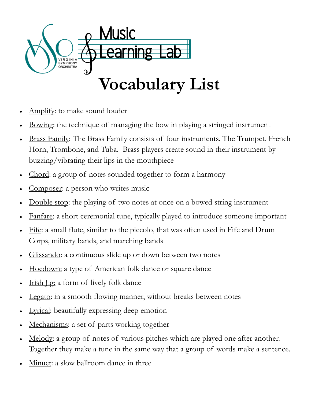

- Amplify: to make sound louder
- Bowing: the technique of managing the bow in playing a stringed instrument
- Brass Family: The Brass Family consists of four instruments. The Trumpet, French Horn, Trombone, and Tuba. Brass players create sound in their instrument by buzzing/vibrating their lips in the mouthpiece
- Chord: a group of notes sounded together to form a harmony
- Composer: a person who writes music
- Double stop: the playing of two notes at once on a bowed string instrument
- Fanfare: a short ceremonial tune, typically played to introduce someone important
- Fife: a small flute, similar to the piccolo, that was often used in Fife and Drum Corps, military bands, and marching bands
- Glissando: a continuous slide up or down between two notes
- Hoedown: a type of American folk dance or square dance
- Irish Jig: a form of lively folk dance
- Legato: in a smooth flowing manner, without breaks between notes
- Lyrical: beautifully expressing deep emotion
- Mechanisms: a set of parts working together
- Melody: a group of notes of various pitches which are played one after another. Together they make a tune in the same way that a group of words make a sentence.
- Minuet: a slow ballroom dance in three